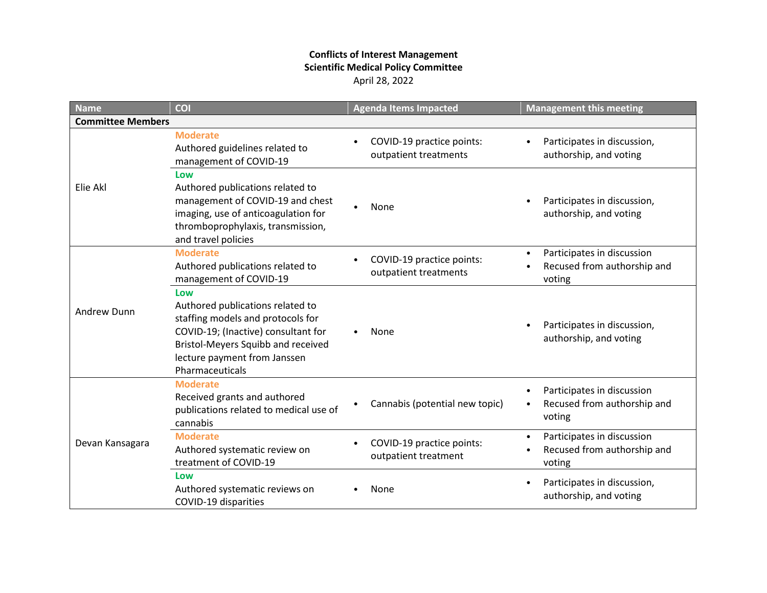## **Conflicts of Interest Management Scientific Medical Policy Committee** April 28, 2022

| <b>Name</b>              | <b>COI</b>                                                                                                                                                                                                   | <b>Agenda Items Impacted</b>                       | <b>Management this meeting</b>                                                                |  |  |
|--------------------------|--------------------------------------------------------------------------------------------------------------------------------------------------------------------------------------------------------------|----------------------------------------------------|-----------------------------------------------------------------------------------------------|--|--|
| <b>Committee Members</b> |                                                                                                                                                                                                              |                                                    |                                                                                               |  |  |
| Elie Akl                 | <b>Moderate</b><br>Authored guidelines related to<br>management of COVID-19                                                                                                                                  | COVID-19 practice points:<br>outpatient treatments | Participates in discussion,<br>$\bullet$<br>authorship, and voting                            |  |  |
|                          | Low<br>Authored publications related to<br>management of COVID-19 and chest<br>imaging, use of anticoagulation for<br>thromboprophylaxis, transmission,<br>and travel policies                               | None                                               | Participates in discussion,<br>authorship, and voting                                         |  |  |
| Andrew Dunn              | <b>Moderate</b><br>Authored publications related to<br>management of COVID-19                                                                                                                                | COVID-19 practice points:<br>outpatient treatments | Participates in discussion<br>$\bullet$<br>Recused from authorship and<br>voting              |  |  |
|                          | Low<br>Authored publications related to<br>staffing models and protocols for<br>COVID-19; (Inactive) consultant for<br>Bristol-Meyers Squibb and received<br>lecture payment from Janssen<br>Pharmaceuticals | None                                               | Participates in discussion,<br>$\bullet$<br>authorship, and voting                            |  |  |
| Devan Kansagara          | <b>Moderate</b><br>Received grants and authored<br>publications related to medical use of<br>cannabis                                                                                                        | Cannabis (potential new topic)                     | Participates in discussion<br>٠<br>Recused from authorship and<br>$\bullet$<br>voting         |  |  |
|                          | <b>Moderate</b><br>Authored systematic review on<br>treatment of COVID-19                                                                                                                                    | COVID-19 practice points:<br>outpatient treatment  | Participates in discussion<br>$\bullet$<br>Recused from authorship and<br>$\bullet$<br>voting |  |  |
|                          | Low<br>Authored systematic reviews on<br>COVID-19 disparities                                                                                                                                                | None                                               | Participates in discussion,<br>٠<br>authorship, and voting                                    |  |  |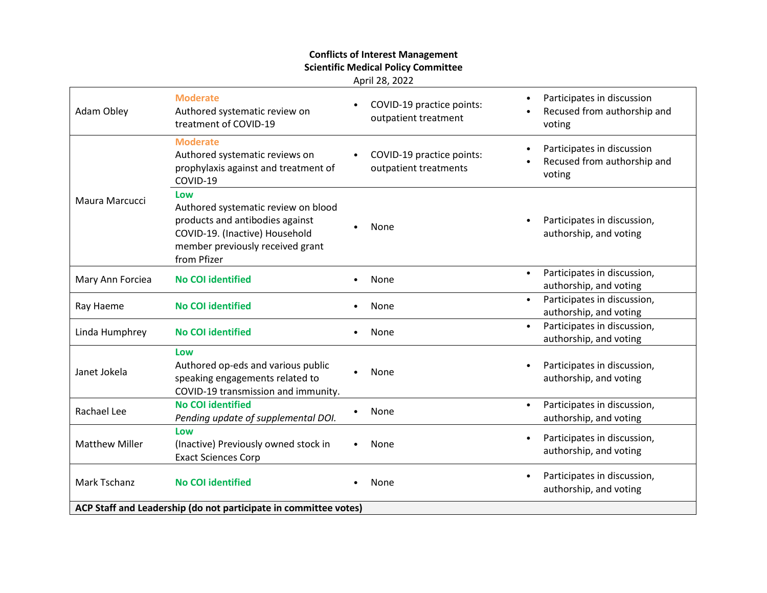## **Conflicts of Interest Management Scientific Medical Policy Committee**

April 28, 2022

| Adam Obley                                                       | <b>Moderate</b><br>Authored systematic review on<br>treatment of COVID-19                                                                                          |  | COVID-19 practice points:<br>outpatient treatment  | $\bullet$ | Participates in discussion<br>Recused from authorship and<br>voting |
|------------------------------------------------------------------|--------------------------------------------------------------------------------------------------------------------------------------------------------------------|--|----------------------------------------------------|-----------|---------------------------------------------------------------------|
| Maura Marcucci                                                   | <b>Moderate</b><br>Authored systematic reviews on<br>prophylaxis against and treatment of<br>COVID-19                                                              |  | COVID-19 practice points:<br>outpatient treatments | $\bullet$ | Participates in discussion<br>Recused from authorship and<br>voting |
|                                                                  | Low<br>Authored systematic review on blood<br>products and antibodies against<br>COVID-19. (Inactive) Household<br>member previously received grant<br>from Pfizer |  | None                                               | $\bullet$ | Participates in discussion,<br>authorship, and voting               |
| Mary Ann Forciea                                                 | <b>No COI identified</b>                                                                                                                                           |  | None                                               | $\bullet$ | Participates in discussion,<br>authorship, and voting               |
| Ray Haeme                                                        | <b>No COI identified</b>                                                                                                                                           |  | None                                               | $\bullet$ | Participates in discussion,<br>authorship, and voting               |
| Linda Humphrey                                                   | <b>No COI identified</b>                                                                                                                                           |  | None                                               | $\bullet$ | Participates in discussion,<br>authorship, and voting               |
| Janet Jokela                                                     | Low<br>Authored op-eds and various public<br>speaking engagements related to<br>COVID-19 transmission and immunity.                                                |  | None                                               | $\bullet$ | Participates in discussion,<br>authorship, and voting               |
| Rachael Lee                                                      | <b>No COI identified</b><br>Pending update of supplemental DOI.                                                                                                    |  | None                                               | $\bullet$ | Participates in discussion,<br>authorship, and voting               |
| <b>Matthew Miller</b>                                            | Low<br>(Inactive) Previously owned stock in<br><b>Exact Sciences Corp</b>                                                                                          |  | None                                               | $\bullet$ | Participates in discussion,<br>authorship, and voting               |
| Mark Tschanz                                                     | <b>No COI identified</b>                                                                                                                                           |  | None                                               | $\bullet$ | Participates in discussion,<br>authorship, and voting               |
| ACP Staff and Leadership (do not participate in committee votes) |                                                                                                                                                                    |  |                                                    |           |                                                                     |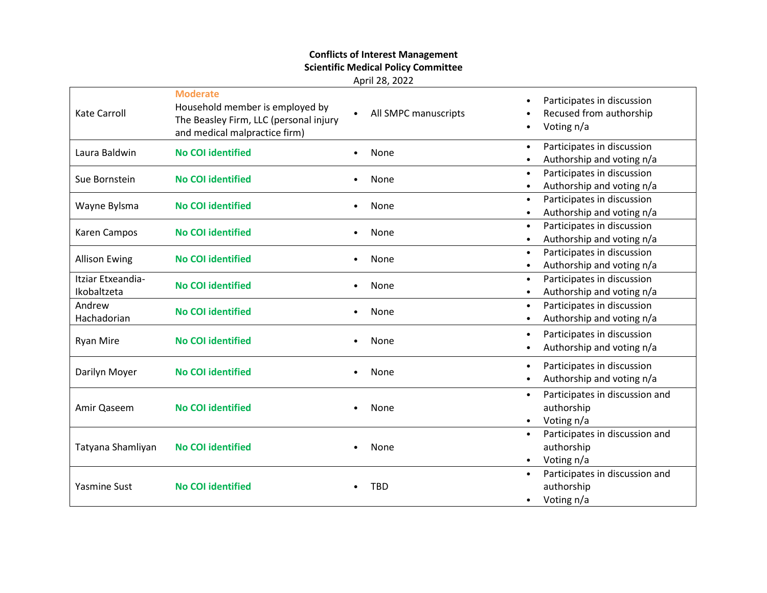## **Conflicts of Interest Management Scientific Medical Policy Committee**

April 28, 2022

| <b>Kate Carroll</b>              | <b>Moderate</b><br>Household member is employed by<br>The Beasley Firm, LLC (personal injury<br>and medical malpractice firm) | All SMPC manuscripts | Participates in discussion<br>Recused from authorship<br>Voting n/a                  |
|----------------------------------|-------------------------------------------------------------------------------------------------------------------------------|----------------------|--------------------------------------------------------------------------------------|
| Laura Baldwin                    | <b>No COI identified</b>                                                                                                      | None                 | Participates in discussion<br>$\bullet$<br>Authorship and voting n/a                 |
| Sue Bornstein                    | <b>No COI identified</b>                                                                                                      | None                 | Participates in discussion<br>Authorship and voting n/a                              |
| Wayne Bylsma                     | <b>No COI identified</b>                                                                                                      | None                 | Participates in discussion<br>$\bullet$<br>Authorship and voting n/a                 |
| Karen Campos                     | <b>No COI identified</b>                                                                                                      | None                 | Participates in discussion<br>$\bullet$<br>Authorship and voting n/a                 |
| <b>Allison Ewing</b>             | <b>No COI identified</b>                                                                                                      | None                 | Participates in discussion<br>$\bullet$<br>Authorship and voting n/a                 |
| Itziar Etxeandia-<br>Ikobaltzeta | <b>No COI identified</b>                                                                                                      | None                 | Participates in discussion<br>$\bullet$<br>Authorship and voting n/a                 |
| Andrew<br>Hachadorian            | <b>No COI identified</b>                                                                                                      | None                 | Participates in discussion<br>$\bullet$<br>Authorship and voting n/a                 |
| <b>Ryan Mire</b>                 | <b>No COI identified</b>                                                                                                      | None                 | Participates in discussion<br>Authorship and voting n/a                              |
| Darilyn Moyer                    | <b>No COI identified</b>                                                                                                      | None                 | Participates in discussion<br>Authorship and voting n/a                              |
| Amir Qaseem                      | <b>No COI identified</b>                                                                                                      | None                 | Participates in discussion and<br>$\bullet$<br>authorship<br>Voting n/a              |
| Tatyana Shamliyan                | <b>No COI identified</b>                                                                                                      | None                 | Participates in discussion and<br>$\bullet$<br>authorship<br>Voting n/a<br>$\bullet$ |
| <b>Yasmine Sust</b>              | <b>No COI identified</b>                                                                                                      | <b>TBD</b>           | Participates in discussion and<br>authorship<br>Voting n/a<br>$\bullet$              |